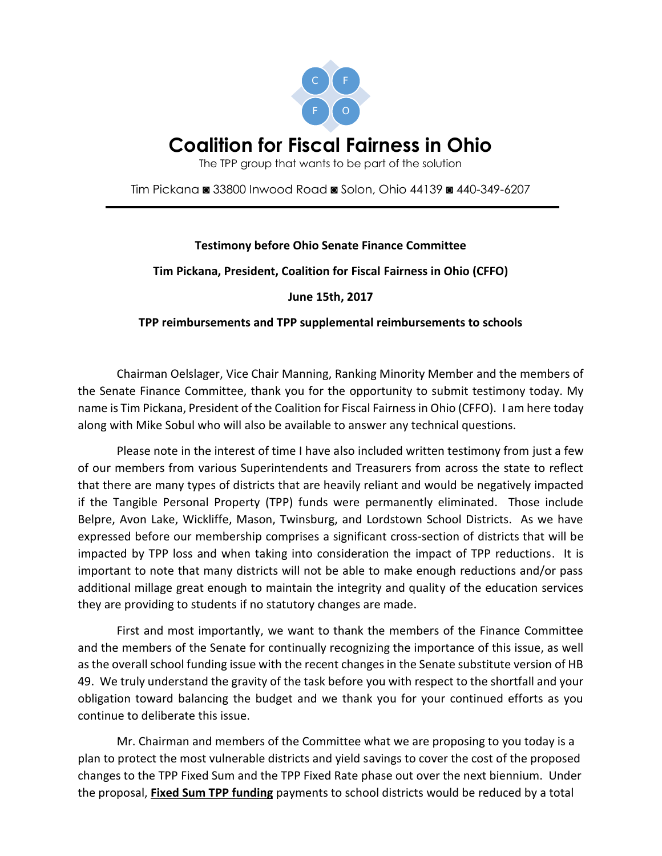

The TPP group that wants to be part of the solution

Tim Pickana ◙ 33800 Inwood Road ◙ Solon, Ohio 44139 ◙ 440-349-6207

#### **Testimony before Ohio Senate Finance Committee**

#### **Tim Pickana, President, Coalition for Fiscal Fairness in Ohio (CFFO)**

**June 15th, 2017**

#### **TPP reimbursements and TPP supplemental reimbursements to schools**

Chairman Oelslager, Vice Chair Manning, Ranking Minority Member and the members of the Senate Finance Committee, thank you for the opportunity to submit testimony today. My name is Tim Pickana, President of the Coalition for Fiscal Fairness in Ohio (CFFO). I am here today along with Mike Sobul who will also be available to answer any technical questions.

Please note in the interest of time I have also included written testimony from just a few of our members from various Superintendents and Treasurers from across the state to reflect that there are many types of districts that are heavily reliant and would be negatively impacted if the Tangible Personal Property (TPP) funds were permanently eliminated. Those include Belpre, Avon Lake, Wickliffe, Mason, Twinsburg, and Lordstown School Districts. As we have expressed before our membership comprises a significant cross-section of districts that will be impacted by TPP loss and when taking into consideration the impact of TPP reductions. It is important to note that many districts will not be able to make enough reductions and/or pass additional millage great enough to maintain the integrity and quality of the education services they are providing to students if no statutory changes are made.

First and most importantly, we want to thank the members of the Finance Committee and the members of the Senate for continually recognizing the importance of this issue, as well as the overall school funding issue with the recent changes in the Senate substitute version of HB 49. We truly understand the gravity of the task before you with respect to the shortfall and your obligation toward balancing the budget and we thank you for your continued efforts as you continue to deliberate this issue.

Mr. Chairman and members of the Committee what we are proposing to you today is a plan to protect the most vulnerable districts and yield savings to cover the cost of the proposed changes to the TPP Fixed Sum and the TPP Fixed Rate phase out over the next biennium. Under the proposal, **Fixed Sum TPP funding** payments to school districts would be reduced by a total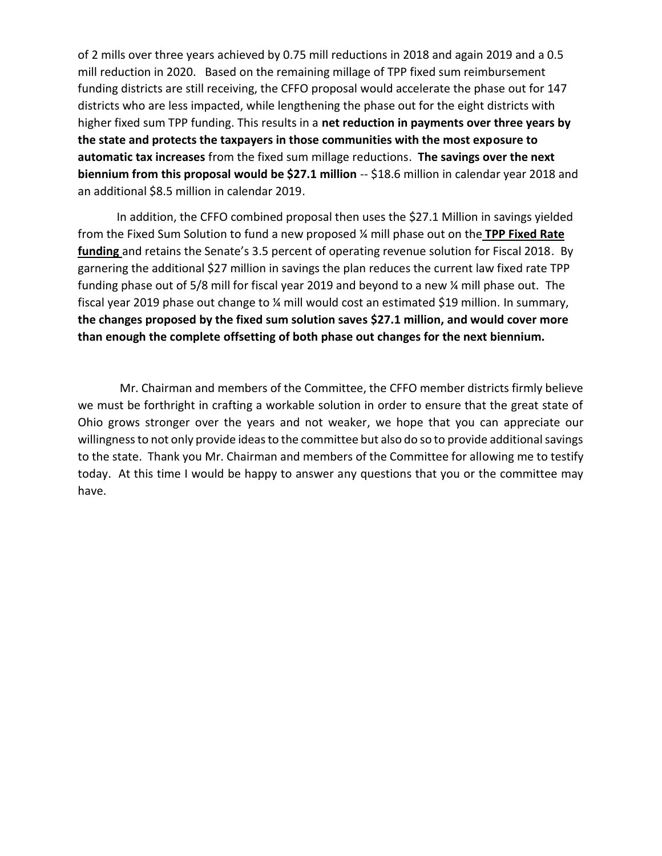of 2 mills over three years achieved by 0.75 mill reductions in 2018 and again 2019 and a 0.5 mill reduction in 2020. Based on the remaining millage of TPP fixed sum reimbursement funding districts are still receiving, the CFFO proposal would accelerate the phase out for 147 districts who are less impacted, while lengthening the phase out for the eight districts with higher fixed sum TPP funding. This results in a **net reduction in payments over three years by the state and protects the taxpayers in those communities with the most exposure to automatic tax increases** from the fixed sum millage reductions. **The savings over the next biennium from this proposal would be \$27.1 million** -- \$18.6 million in calendar year 2018 and an additional \$8.5 million in calendar 2019.

In addition, the CFFO combined proposal then uses the \$27.1 Million in savings yielded from the Fixed Sum Solution to fund a new proposed ¼ mill phase out on the **TPP Fixed Rate funding** and retains the Senate's 3.5 percent of operating revenue solution for Fiscal 2018. By garnering the additional \$27 million in savings the plan reduces the current law fixed rate TPP funding phase out of 5/8 mill for fiscal year 2019 and beyond to a new ¼ mill phase out. The fiscal year 2019 phase out change to ¼ mill would cost an estimated \$19 million. In summary, **the changes proposed by the fixed sum solution saves \$27.1 million, and would cover more than enough the complete offsetting of both phase out changes for the next biennium.**

Mr. Chairman and members of the Committee, the CFFO member districts firmly believe we must be forthright in crafting a workable solution in order to ensure that the great state of Ohio grows stronger over the years and not weaker, we hope that you can appreciate our willingness to not only provide ideas to the committee but also do so to provide additional savings to the state. Thank you Mr. Chairman and members of the Committee for allowing me to testify today. At this time I would be happy to answer any questions that you or the committee may have.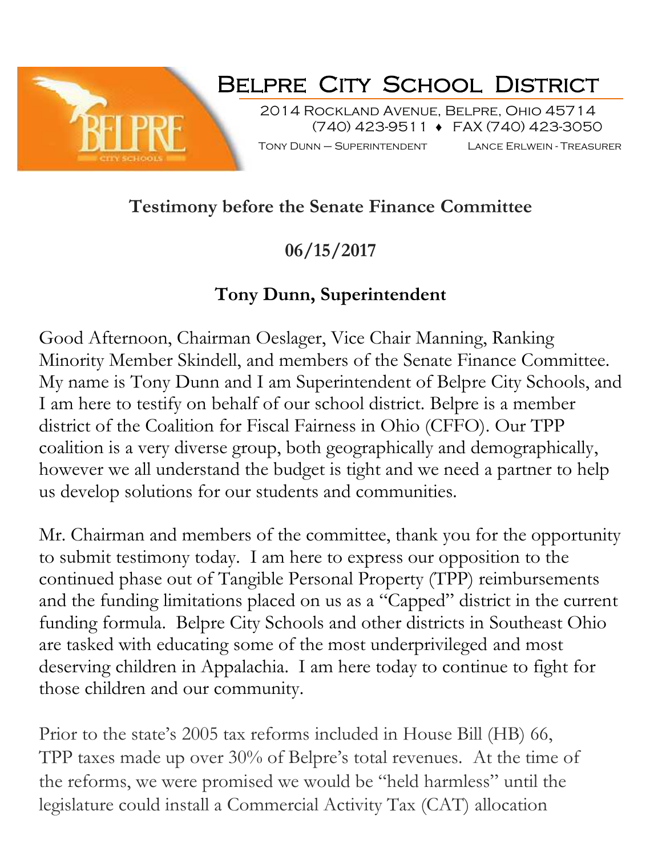

# **Belpre City School District**

2014 Rockland Avenue, Belpre, Ohio 45714 (740) 423-9511 FAX (740) 423-3050

Tony Dunn – Superintendent Lance Erlwein - Treasurer

# **Testimony before the Senate Finance Committee**

**06/15/2017**

# **Tony Dunn, Superintendent**

Good Afternoon, Chairman Oeslager, Vice Chair Manning, Ranking Minority Member Skindell, and members of the Senate Finance Committee. My name is Tony Dunn and I am Superintendent of Belpre City Schools, and I am here to testify on behalf of our school district. Belpre is a member district of the Coalition for Fiscal Fairness in Ohio (CFFO). Our TPP coalition is a very diverse group, both geographically and demographically, however we all understand the budget is tight and we need a partner to help us develop solutions for our students and communities.

Mr. Chairman and members of the committee, thank you for the opportunity to submit testimony today. I am here to express our opposition to the continued phase out of Tangible Personal Property (TPP) reimbursements and the funding limitations placed on us as a "Capped" district in the current funding formula. Belpre City Schools and other districts in Southeast Ohio are tasked with educating some of the most underprivileged and most deserving children in Appalachia. I am here today to continue to fight for those children and our community.

Prior to the state's 2005 tax reforms included in House Bill (HB) 66, TPP taxes made up over 30% of Belpre's total revenues. At the time of the reforms, we were promised we would be "held harmless" until the legislature could install a Commercial Activity Tax (CAT) allocation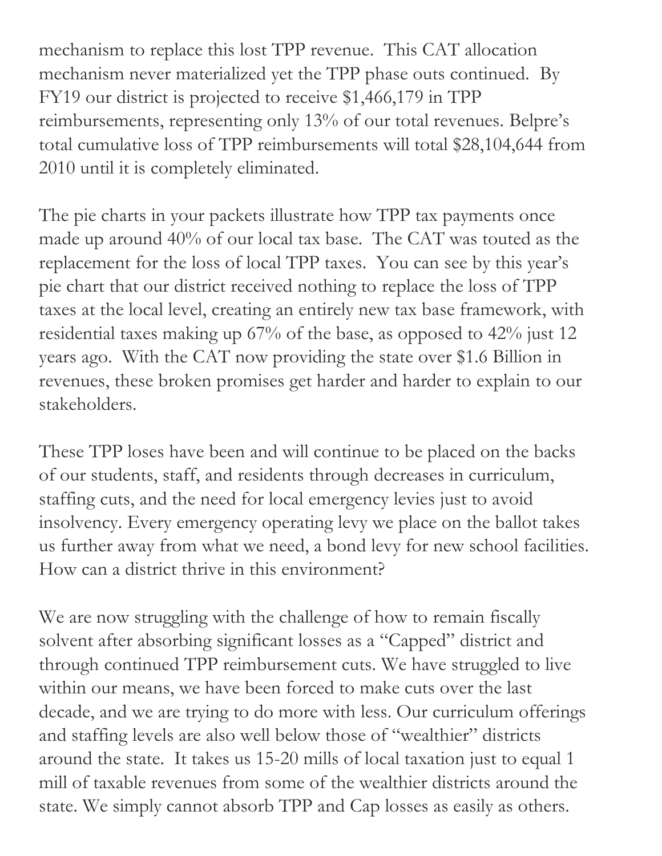mechanism to replace this lost TPP revenue. This CAT allocation mechanism never materialized yet the TPP phase outs continued. By FY19 our district is projected to receive \$1,466,179 in TPP reimbursements, representing only 13% of our total revenues. Belpre's total cumulative loss of TPP reimbursements will total \$28,104,644 from 2010 until it is completely eliminated.

The pie charts in your packets illustrate how TPP tax payments once made up around 40% of our local tax base. The CAT was touted as the replacement for the loss of local TPP taxes. You can see by this year's pie chart that our district received nothing to replace the loss of TPP taxes at the local level, creating an entirely new tax base framework, with residential taxes making up 67% of the base, as opposed to 42% just 12 years ago. With the CAT now providing the state over \$1.6 Billion in revenues, these broken promises get harder and harder to explain to our stakeholders.

These TPP loses have been and will continue to be placed on the backs of our students, staff, and residents through decreases in curriculum, staffing cuts, and the need for local emergency levies just to avoid insolvency. Every emergency operating levy we place on the ballot takes us further away from what we need, a bond levy for new school facilities. How can a district thrive in this environment?

We are now struggling with the challenge of how to remain fiscally solvent after absorbing significant losses as a "Capped" district and through continued TPP reimbursement cuts. We have struggled to live within our means, we have been forced to make cuts over the last decade, and we are trying to do more with less. Our curriculum offerings and staffing levels are also well below those of "wealthier" districts around the state. It takes us 15-20 mills of local taxation just to equal 1 mill of taxable revenues from some of the wealthier districts around the state. We simply cannot absorb TPP and Cap losses as easily as others.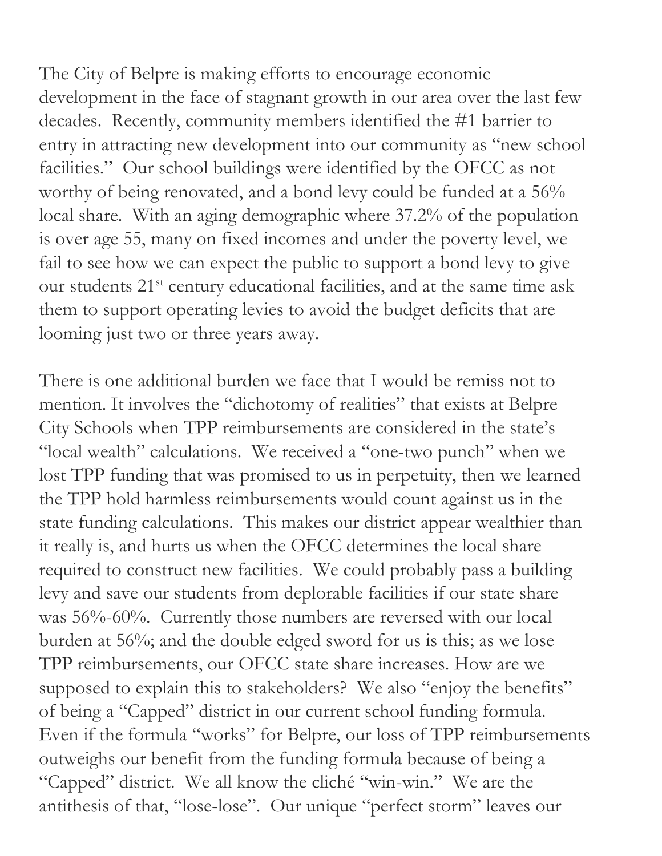The City of Belpre is making efforts to encourage economic development in the face of stagnant growth in our area over the last few decades. Recently, community members identified the #1 barrier to entry in attracting new development into our community as "new school facilities." Our school buildings were identified by the OFCC as not worthy of being renovated, and a bond levy could be funded at a 56% local share. With an aging demographic where 37.2% of the population is over age 55, many on fixed incomes and under the poverty level, we fail to see how we can expect the public to support a bond levy to give our students 21<sup>st</sup> century educational facilities, and at the same time ask them to support operating levies to avoid the budget deficits that are looming just two or three years away.

There is one additional burden we face that I would be remiss not to mention. It involves the "dichotomy of realities" that exists at Belpre City Schools when TPP reimbursements are considered in the state's "local wealth" calculations. We received a "one-two punch" when we lost TPP funding that was promised to us in perpetuity, then we learned the TPP hold harmless reimbursements would count against us in the state funding calculations. This makes our district appear wealthier than it really is, and hurts us when the OFCC determines the local share required to construct new facilities. We could probably pass a building levy and save our students from deplorable facilities if our state share was 56%-60%. Currently those numbers are reversed with our local burden at 56%; and the double edged sword for us is this; as we lose TPP reimbursements, our OFCC state share increases. How are we supposed to explain this to stakeholders? We also "enjoy the benefits" of being a "Capped" district in our current school funding formula. Even if the formula "works" for Belpre, our loss of TPP reimbursements outweighs our benefit from the funding formula because of being a "Capped" district. We all know the cliché "win-win." We are the antithesis of that, "lose-lose". Our unique "perfect storm" leaves our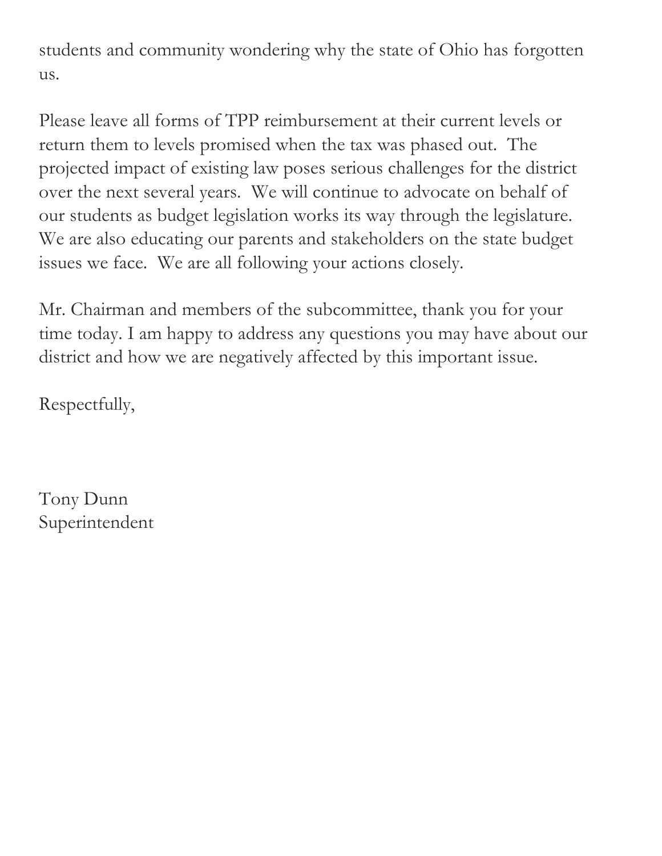students and community wondering why the state of Ohio has forgotten us.

Please leave all forms of TPP reimbursement at their current levels or return them to levels promised when the tax was phased out. The projected impact of existing law poses serious challenges for the district over the next several years. We will continue to advocate on behalf of our students as budget legislation works its way through the legislature. We are also educating our parents and stakeholders on the state budget issues we face. We are all following your actions closely.

Mr. Chairman and members of the subcommittee, thank you for your time today. I am happy to address any questions you may have about our district and how we are negatively affected by this important issue.

Respectfully,

Tony Dunn Superintendent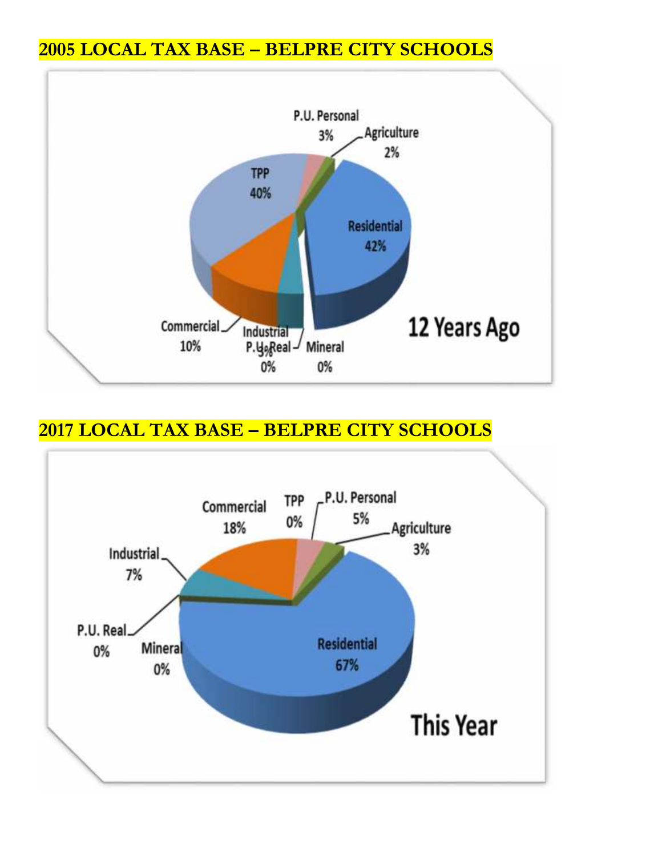## **2005 LOCAL TAX BASE – BELPRE CITY SCHOOLS**



### **2017 LOCAL TAX BASE – BELPRE CITY SCHOOLS**

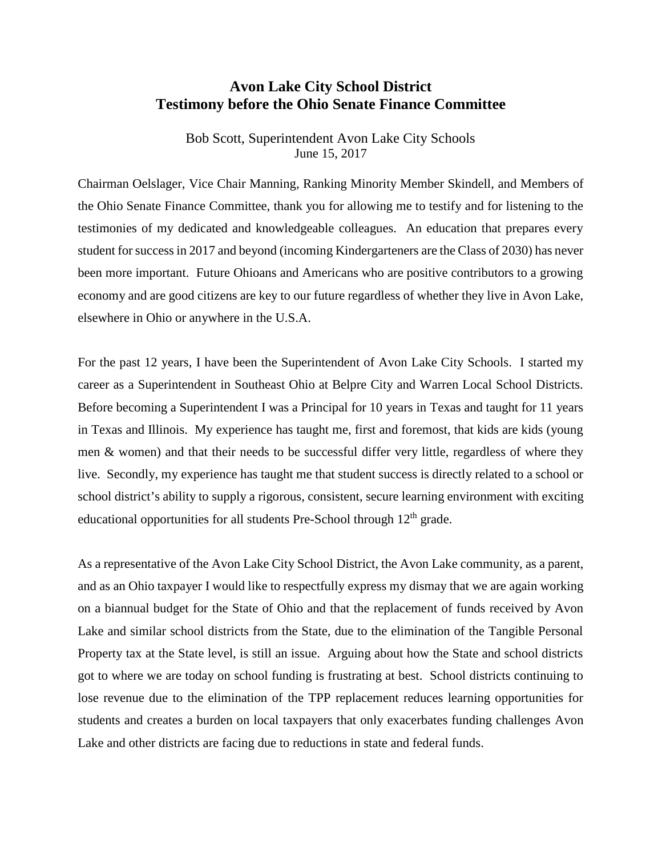#### **Avon Lake City School District Testimony before the Ohio Senate Finance Committee**

Bob Scott, Superintendent Avon Lake City Schools June 15, 2017

Chairman Oelslager, Vice Chair Manning, Ranking Minority Member Skindell, and Members of the Ohio Senate Finance Committee, thank you for allowing me to testify and for listening to the testimonies of my dedicated and knowledgeable colleagues. An education that prepares every student for success in 2017 and beyond (incoming Kindergarteners are the Class of 2030) has never been more important. Future Ohioans and Americans who are positive contributors to a growing economy and are good citizens are key to our future regardless of whether they live in Avon Lake, elsewhere in Ohio or anywhere in the U.S.A.

For the past 12 years, I have been the Superintendent of Avon Lake City Schools. I started my career as a Superintendent in Southeast Ohio at Belpre City and Warren Local School Districts. Before becoming a Superintendent I was a Principal for 10 years in Texas and taught for 11 years in Texas and Illinois. My experience has taught me, first and foremost, that kids are kids (young men & women) and that their needs to be successful differ very little, regardless of where they live. Secondly, my experience has taught me that student success is directly related to a school or school district's ability to supply a rigorous, consistent, secure learning environment with exciting educational opportunities for all students Pre-School through 12<sup>th</sup> grade.

As a representative of the Avon Lake City School District, the Avon Lake community, as a parent, and as an Ohio taxpayer I would like to respectfully express my dismay that we are again working on a biannual budget for the State of Ohio and that the replacement of funds received by Avon Lake and similar school districts from the State, due to the elimination of the Tangible Personal Property tax at the State level, is still an issue. Arguing about how the State and school districts got to where we are today on school funding is frustrating at best. School districts continuing to lose revenue due to the elimination of the TPP replacement reduces learning opportunities for students and creates a burden on local taxpayers that only exacerbates funding challenges Avon Lake and other districts are facing due to reductions in state and federal funds.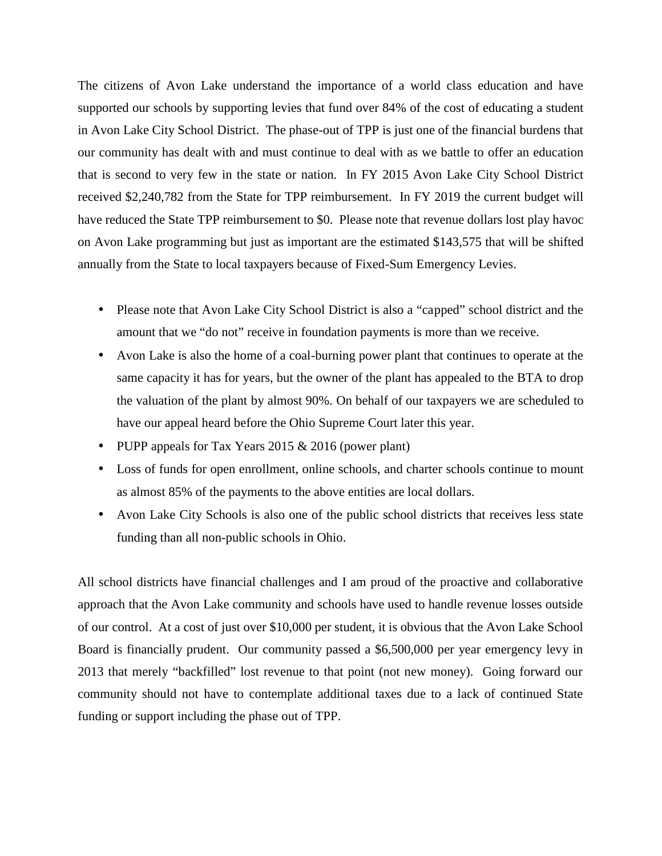The citizens of Avon Lake understand the importance of a world class education and have supported our schools by supporting levies that fund over 84% of the cost of educating a student in Avon Lake City School District. The phase-out of TPP is just one of the financial burdens that our community has dealt with and must continue to deal with as we battle to offer an education that is second to very few in the state or nation. In FY 2015 Avon Lake City School District received \$2,240,782 from the State for TPP reimbursement. In FY 2019 the current budget will have reduced the State TPP reimbursement to \$0. Please note that revenue dollars lost play havoc on Avon Lake programming but just as important are the estimated \$143,575 that will be shifted annually from the State to local taxpayers because of Fixed-Sum Emergency Levies.

- Please note that Avon Lake City School District is also a "capped" school district and the amount that we "do not" receive in foundation payments is more than we receive.
- Avon Lake is also the home of a coal-burning power plant that continues to operate at the same capacity it has for years, but the owner of the plant has appealed to the BTA to drop the valuation of the plant by almost 90%. On behalf of our taxpayers we are scheduled to have our appeal heard before the Ohio Supreme Court later this year.
- PUPP appeals for Tax Years 2015  $& 2016$  (power plant)
- Loss of funds for open enrollment, online schools, and charter schools continue to mount as almost 85% of the payments to the above entities are local dollars.
- Avon Lake City Schools is also one of the public school districts that receives less state funding than all non-public schools in Ohio.

All school districts have financial challenges and I am proud of the proactive and collaborative approach that the Avon Lake community and schools have used to handle revenue losses outside of our control. At a cost of just over \$10,000 per student, it is obvious that the Avon Lake School Board is financially prudent. Our community passed a \$6,500,000 per year emergency levy in 2013 that merely "backfilled" lost revenue to that point (not new money). Going forward our community should not have to contemplate additional taxes due to a lack of continued State funding or support including the phase out of TPP.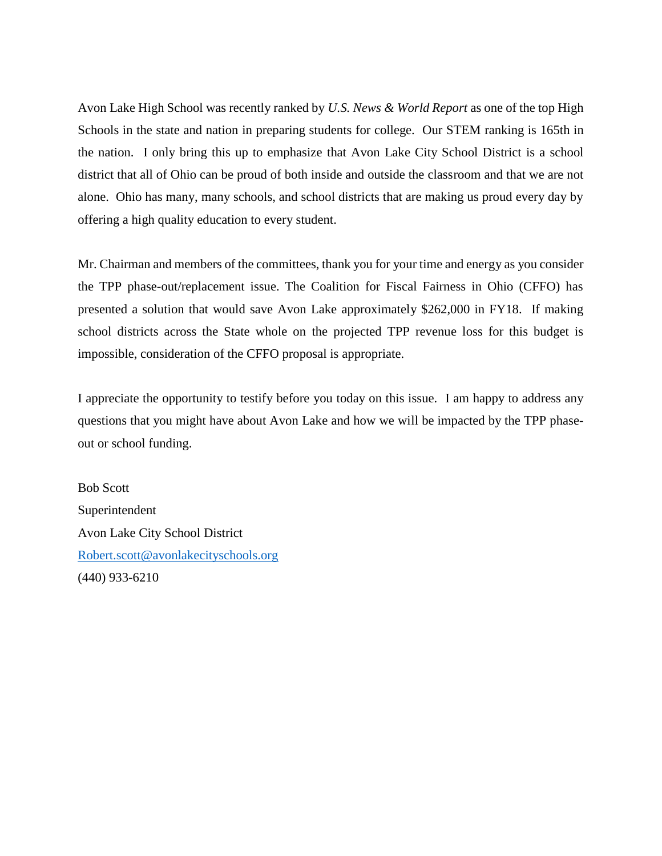Avon Lake High School was recently ranked by *U.S. News & World Report* as one of the top High Schools in the state and nation in preparing students for college. Our STEM ranking is 165th in the nation. I only bring this up to emphasize that Avon Lake City School District is a school district that all of Ohio can be proud of both inside and outside the classroom and that we are not alone. Ohio has many, many schools, and school districts that are making us proud every day by offering a high quality education to every student.

Mr. Chairman and members of the committees, thank you for your time and energy as you consider the TPP phase-out/replacement issue. The Coalition for Fiscal Fairness in Ohio (CFFO) has presented a solution that would save Avon Lake approximately \$262,000 in FY18. If making school districts across the State whole on the projected TPP revenue loss for this budget is impossible, consideration of the CFFO proposal is appropriate.

I appreciate the opportunity to testify before you today on this issue. I am happy to address any questions that you might have about Avon Lake and how we will be impacted by the TPP phase out or school funding.

Bob Scott Superintendent Avon Lake City School District Robert.scott@avonlakecityschools.org (440) 933-6210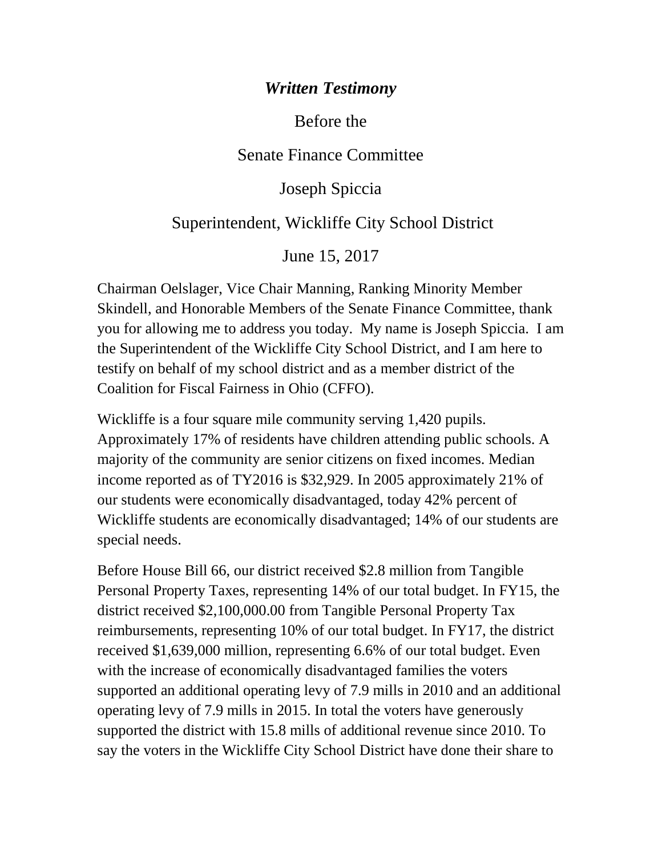### *Written Testimony*

Before the

Senate Finance Committee

Joseph Spiccia

### Superintendent, Wickliffe City School District

June 15, 2017

Chairman Oelslager, Vice Chair Manning, Ranking Minority Member Skindell, and Honorable Members of the Senate Finance Committee, thank you for allowing me to address you today. My name is Joseph Spiccia. I am the Superintendent of the Wickliffe City School District, and I am here to testify on behalf of my school district and as a member district of the Coalition for Fiscal Fairness in Ohio (CFFO).

Wickliffe is a four square mile community serving 1,420 pupils. Approximately 17% of residents have children attending public schools. A majority of the community are senior citizens on fixed incomes. Median income reported as of TY2016 is \$32,929. In 2005 approximately 21% of our students were economically disadvantaged, today 42% percent of Wickliffe students are economically disadvantaged; 14% of our students are special needs.

Before House Bill 66, our district received \$2.8 million from Tangible Personal Property Taxes, representing 14% of our total budget. In FY15, the district received \$2,100,000.00 from Tangible Personal Property Tax reimbursements, representing 10% of our total budget. In FY17, the district received \$1,639,000 million, representing 6.6% of our total budget. Even with the increase of economically disadvantaged families the voters supported an additional operating levy of 7.9 mills in 2010 and an additional operating levy of 7.9 mills in 2015. In total the voters have generously supported the district with 15.8 mills of additional revenue since 2010. To say the voters in the Wickliffe City School District have done their share to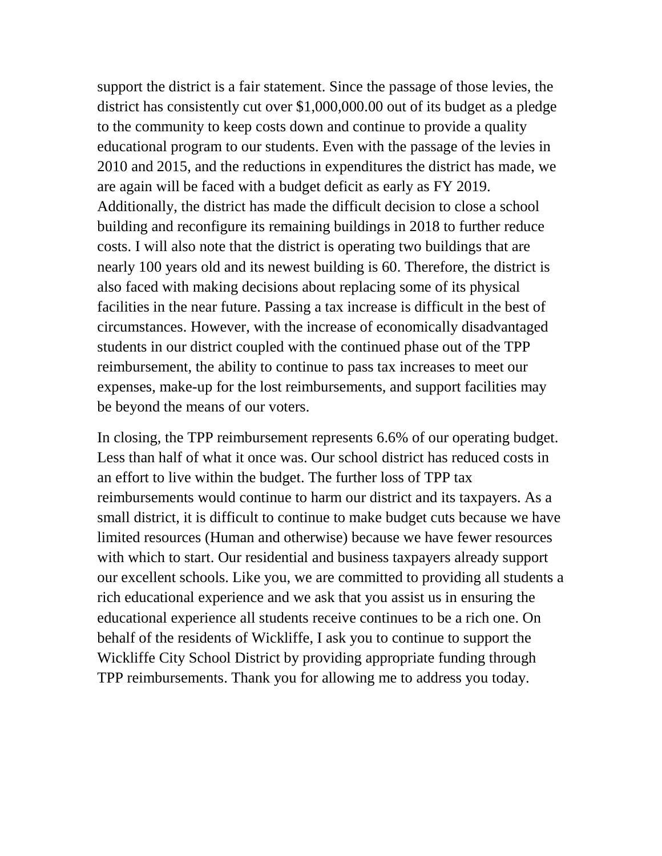support the district is a fair statement. Since the passage of those levies, the district has consistently cut over \$1,000,000.00 out of its budget as a pledge to the community to keep costs down and continue to provide a quality educational program to our students. Even with the passage of the levies in 2010 and 2015, and the reductions in expenditures the district has made, we are again will be faced with a budget deficit as early as FY 2019. Additionally, the district has made the difficult decision to close a school building and reconfigure its remaining buildings in 2018 to further reduce costs. I will also note that the district is operating two buildings that are nearly 100 years old and its newest building is 60. Therefore, the district is also faced with making decisions about replacing some of its physical facilities in the near future. Passing a tax increase is difficult in the best of circumstances. However, with the increase of economically disadvantaged students in our district coupled with the continued phase out of the TPP reimbursement, the ability to continue to pass tax increases to meet our expenses, make-up for the lost reimbursements, and support facilities may be beyond the means of our voters.

In closing, the TPP reimbursement represents 6.6% of our operating budget. Less than half of what it once was. Our school district has reduced costs in an effort to live within the budget. The further loss of TPP tax reimbursements would continue to harm our district and its taxpayers. As a small district, it is difficult to continue to make budget cuts because we have limited resources (Human and otherwise) because we have fewer resources with which to start. Our residential and business taxpayers already support our excellent schools. Like you, we are committed to providing all students a rich educational experience and we ask that you assist us in ensuring the educational experience all students receive continues to be a rich one. On behalf of the residents of Wickliffe, I ask you to continue to support the Wickliffe City School District by providing appropriate funding through TPP reimbursements. Thank you for allowing me to address you today.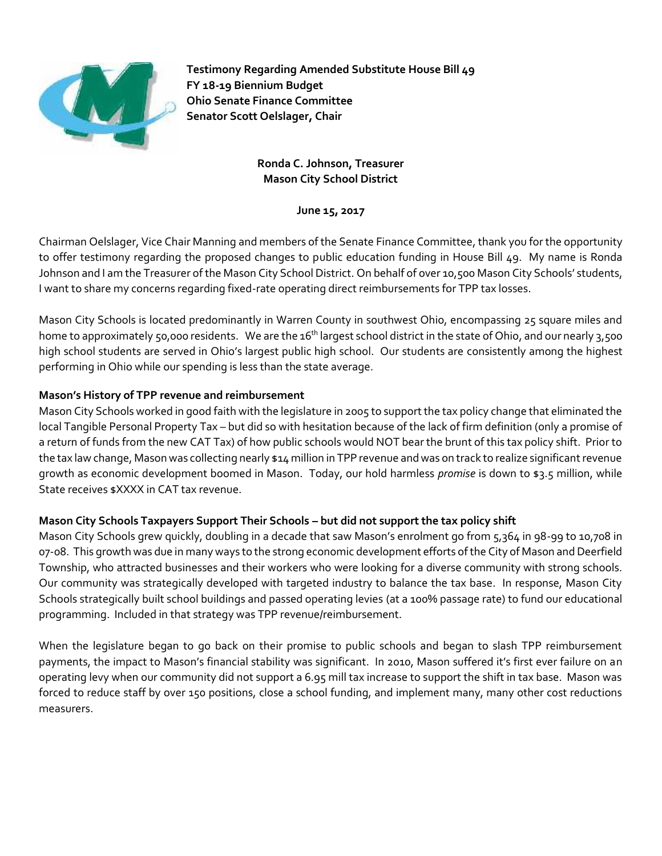

**Testimony Regarding Amended Substitute House Bill 49 FY 18-19 Biennium Budget Ohio Senate Finance Committee Senator Scott Oelslager, Chair**

#### **Ronda C. Johnson, Treasurer Mason City School District**

**June 15, 2017**

Chairman Oelslager, Vice Chair Manning and members of the Senate Finance Committee, thank you for the opportunity to offer testimony regarding the proposed changes to public education funding in House Bill 49. My name is Ronda Johnson and I am the Treasurer of the Mason City School District. On behalf of over 10,500 Mason City Schools' students, I want to share my concerns regarding fixed-rate operating direct reimbursements for TPP tax losses.

Mason City Schools is located predominantly in Warren County in southwest Ohio, encompassing 25 square miles and home to approximately 50,000 residents. We are the 16<sup>th</sup> largest school district in the state of Ohio, and our nearly 3,500 high school students are served in Ohio's largest public high school. Our students are consistently among the highest performing in Ohio while our spending is less than the state average.

#### **Mason's History of TPP revenue and reimbursement**

Mason City Schools worked in good faith with the legislature in 2005 to support the tax policy change that eliminated the local Tangible Personal Property Tax – but did so with hesitation because of the lack of firm definition (only a promise of a return of funds from the new CAT Tax) of how public schools would NOT bear the brunt of this tax policy shift. Prior to the tax law change, Mason was collecting nearly \$14 million in TPP revenue and was on track to realize significant revenue growth as economic development boomed in Mason. Today, our hold harmless *promise* is down to \$3.5 million, while State receives \$XXXX in CAT tax revenue.

#### **Mason City Schools Taxpayers Support Their Schools – but did not support the tax policy shift**

Mason City Schools grew quickly, doubling in a decade that saw Mason's enrolment go from 5,364 in 98-99 to 10,708 in 07-08. This growth was due in many ways to the strong economic development efforts of the City of Mason and Deerfield Township, who attracted businesses and their workers who were looking for a diverse community with strong schools. Our community was strategically developed with targeted industry to balance the tax base. In response, Mason City Schools strategically built school buildings and passed operating levies (at a 100% passage rate) to fund our educational programming. Included in that strategy was TPP revenue/reimbursement.

When the legislature began to go back on their promise to public schools and began to slash TPP reimbursement payments, the impact to Mason's financial stability was significant. In 2010, Mason suffered it's first ever failure on an operating levy when our community did not support a 6.95 mill tax increase to support the shift in tax base. Mason was forced to reduce staff by over 150 positions, close a school funding, and implement many, many other cost reductions measurers.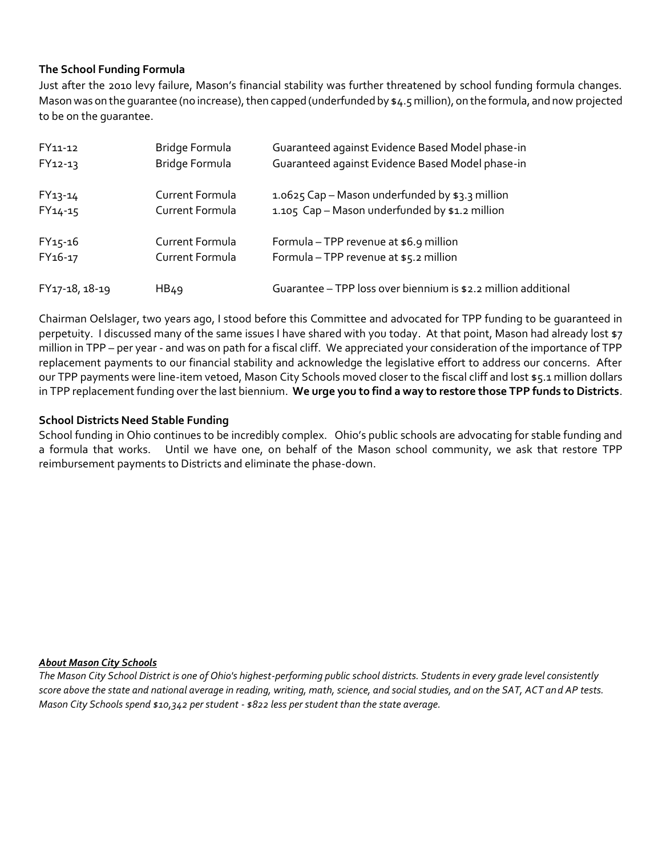#### **The School Funding Formula**

Just after the 2010 levy failure, Mason's financial stability was further threatened by school funding formula changes. Mason was on the guarantee (no increase), then capped (underfunded by \$4.5 million), on the formula, and now projected to be on the guarantee.

| FY11-12             | Bridge Formula   | Guaranteed against Evidence Based Model phase-in               |
|---------------------|------------------|----------------------------------------------------------------|
| $FY12-13$           | Bridge Formula   | Guaranteed against Evidence Based Model phase-in               |
| FY13-14             | Current Formula  | 1.0625 Cap - Mason underfunded by \$3.3 million                |
| $FY14-15$           | Current Formula  | 1.105 Cap - Mason underfunded by \$1.2 million                 |
| $FY15-16$           | Current Formula  | Formula – TPP revenue at \$6.9 million                         |
| FY <sub>16-17</sub> | Current Formula  | Formula - TPP revenue at \$5.2 million                         |
| FY17-18, 18-19      | HB <sub>49</sub> | Guarantee - TPP loss over biennium is \$2.2 million additional |

Chairman Oelslager, two years ago, I stood before this Committee and advocated for TPP funding to be guaranteed in perpetuity. I discussed many of the same issues I have shared with you today. At that point, Mason had already lost \$7 million in TPP – per year - and was on path for a fiscal cliff. We appreciated your consideration of the importance of TPP replacement payments to our financial stability and acknowledge the legislative effort to address our concerns. After our TPP payments were line-item vetoed, Mason City Schools moved closer to the fiscal cliff and lost \$5.1 million dollars in TPP replacement funding over the last biennium. **We urge you to find a way to restore those TPP funds to Districts**.

#### **School Districts Need Stable Funding**

School funding in Ohio continues to be incredibly complex. Ohio's public schools are advocating for stable funding and a formula that works. Until we have one, on behalf of the Mason school community, we ask that restore TPP reimbursement payments to Districts and eliminate the phase-down.

#### *About Mason City Schools*

*The Mason City School District is one of Ohio's highest-performing public school districts. Students in every grade level consistently score above the state and national average in reading, writing, math, science, and social studies, and on the SAT, ACT and AP tests. Mason City Schools spend \$10,342 per student - \$822 less per student than the state average.*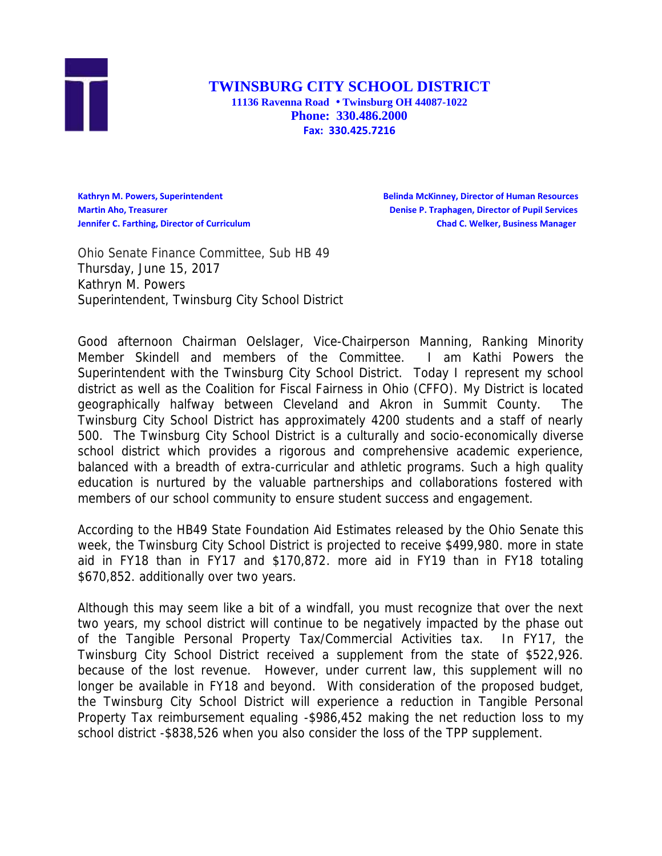

**TWINSBURG CITY SCHOOL DISTRICT 11136 Ravenna Road Twinsburg OH 44087-1022 Phone: 330.486.2000 Fax: 330.425.7216**

**Kathryn M. Powers, Superintendent Belinda McKinney, Director of Human Resources Martin Aho, Treasurer Denise P. Traphagen, Director of Pupil Services Jennifer C. Farthing, Director of Curriculum Chad C. Welker, Business Manager**

Ohio Senate Finance Committee, Sub HB 49 Thursday, June 15, 2017 Kathryn M. Powers Superintendent, Twinsburg City School District

Good afternoon Chairman Oelslager, Vice-Chairperson Manning, Ranking Minority Member Skindell and members of the Committee. I am Kathi Powers the Superintendent with the Twinsburg City School District. Today I represent my school district as well as the Coalition for Fiscal Fairness in Ohio (CFFO). My District is located geographically halfway between Cleveland and Akron in Summit County. The Twinsburg City School District has approximately 4200 students and a staff of nearly 500. The Twinsburg City School District is a culturally and socio-economically diverse school district which provides a rigorous and comprehensive academic experience, balanced with a breadth of extra-curricular and athletic programs. Such a high quality education is nurtured by the valuable partnerships and collaborations fostered with members of our school community to ensure student success and engagement.

According to the HB49 State Foundation Aid Estimates released by the Ohio Senate this week, the Twinsburg City School District is projected to receive \$499,980. more in state aid in FY18 than in FY17 and \$170,872. more aid in FY19 than in FY18 totaling \$670,852. additionally over two years.

Although this may seem like a bit of a windfall, you must recognize that over the next two years, my school district will continue to be negatively impacted by the phase out of the Tangible Personal Property Tax/Commercial Activities tax. In FY17, the Twinsburg City School District received a supplement from the state of \$522,926. because of the lost revenue. However, under current law, this supplement will no longer be available in FY18 and beyond. With consideration of the proposed budget, the Twinsburg City School District will experience a reduction in Tangible Personal Property Tax reimbursement equaling -\$986,452 making the net reduction loss to my school district -\$838,526 when you also consider the loss of the TPP supplement.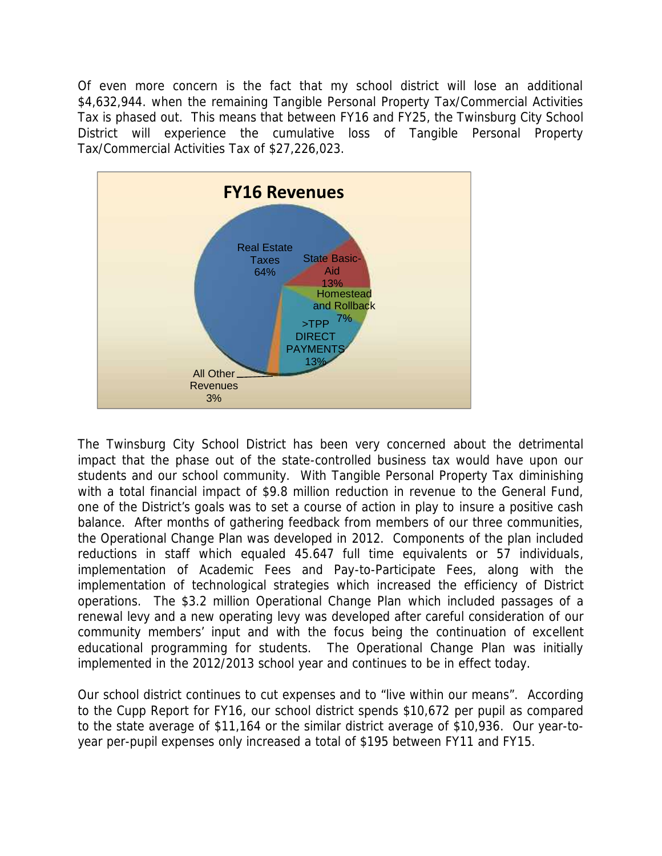Of even more concern is the fact that my school district will lose an additional \$4,632,944. when the remaining Tangible Personal Property Tax/Commercial Activities Tax is phased out. This means that between FY16 and FY25, the Twinsburg City School District will experience the cumulative loss of Tangible Personal Property Tax/Commercial Activities Tax of \$27,226,023.



The Twinsburg City School District has been very concerned about the detrimental impact that the phase out of the state-controlled business tax would have upon our students and our school community. With Tangible Personal Property Tax diminishing with a total financial impact of \$9.8 million reduction in revenue to the General Fund, one of the District's goals was to set a course of action in play to insure a positive cash balance. After months of gathering feedback from members of our three communities, the Operational Change Plan was developed in 2012. Components of the plan included reductions in staff which equaled 45.647 full time equivalents or 57 individuals, implementation of Academic Fees and Pay-to-Participate Fees, along with the implementation of technological strategies which increased the efficiency of District operations. The \$3.2 million Operational Change Plan which included passages of a renewal levy and a new operating levy was developed after careful consideration of our community members' input and with the focus being the continuation of excellent educational programming for students. The Operational Change Plan was initially implemented in the 2012/2013 school year and continues to be in effect today.

Our school district continues to cut expenses and to "live within our means". According to the Cupp Report for FY16, our school district spends \$10,672 per pupil as compared to the state average of \$11,164 or the similar district average of \$10,936. Our year-to year per-pupil expenses only increased a total of \$195 between FY11 and FY15.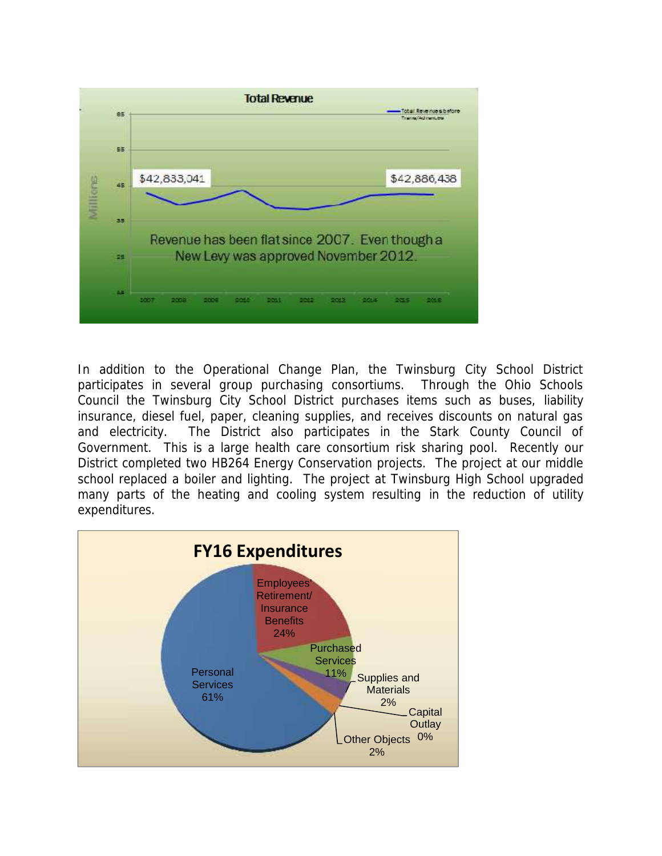

In addition to the Operational Change Plan, the Twinsburg City School District participates in several group purchasing consortiums. Through the Ohio Schools Council the Twinsburg City School District purchases items such as buses, liability insurance, diesel fuel, paper, cleaning supplies, and receives discounts on natural gas and electricity. The District also participates in the Stark County Council of Government. This is a large health care consortium risk sharing pool. Recently our District completed two HB264 Energy Conservation projects. The project at our middle school replaced a boiler and lighting. The project at Twinsburg High School upgraded many parts of the heating and cooling system resulting in the reduction of utility expenditures.

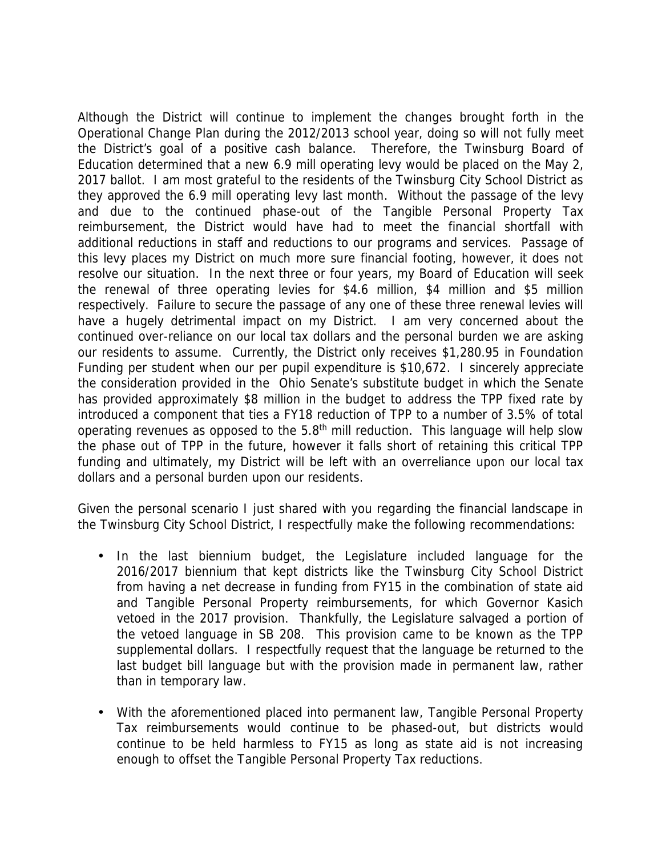Although the District will continue to implement the changes brought forth in the Operational Change Plan during the 2012/2013 school year, doing so will not fully meet the District's goal of a positive cash balance. Therefore, the Twinsburg Board of Education determined that a new 6.9 mill operating levy would be placed on the May 2, 2017 ballot. I am most grateful to the residents of the Twinsburg City School District as they approved the 6.9 mill operating levy last month. Without the passage of the levy and due to the continued phase-out of the Tangible Personal Property Tax reimbursement, the District would have had to meet the financial shortfall with additional reductions in staff and reductions to our programs and services. Passage of this levy places my District on much more sure financial footing, however, it does not resolve our situation. In the next three or four years, my Board of Education will seek the renewal of three operating levies for \$4.6 million, \$4 million and \$5 million respectively. Failure to secure the passage of any one of these three renewal levies will have a hugely detrimental impact on my District. I am very concerned about the continued over-reliance on our local tax dollars and the personal burden we are asking our residents to assume. Currently, the District only receives \$1,280.95 in Foundation Funding per student when our per pupil expenditure is \$10,672. I sincerely appreciate the consideration provided in the Ohio Senate's substitute budget in which the Senate has provided approximately \$8 million in the budget to address the TPP fixed rate by introduced a component that ties a FY18 reduction of TPP to a number of 3.5% of total operating revenues as opposed to the  $5.8<sup>th</sup>$  mill reduction. This language will help slow the phase out of TPP in the future, however it falls short of retaining this critical TPP funding and ultimately, my District will be left with an overreliance upon our local tax dollars and a personal burden upon our residents.

Given the personal scenario I just shared with you regarding the financial landscape in the Twinsburg City School District, I respectfully make the following recommendations:

- In the last biennium budget, the Legislature included language for the 2016/2017 biennium that kept districts like the Twinsburg City School District from having a net decrease in funding from FY15 in the combination of state aid and Tangible Personal Property reimbursements, for which Governor Kasich vetoed in the 2017 provision. Thankfully, the Legislature salvaged a portion of the vetoed language in SB 208. This provision came to be known as the TPP supplemental dollars. I respectfully request that the language be returned to the last budget bill language but with the provision made in permanent law, rather than in temporary law.
- With the aforementioned placed into permanent law, Tangible Personal Property Tax reimbursements would continue to be phased-out, but districts would continue to be held harmless to FY15 as long as state aid is not increasing enough to offset the Tangible Personal Property Tax reductions.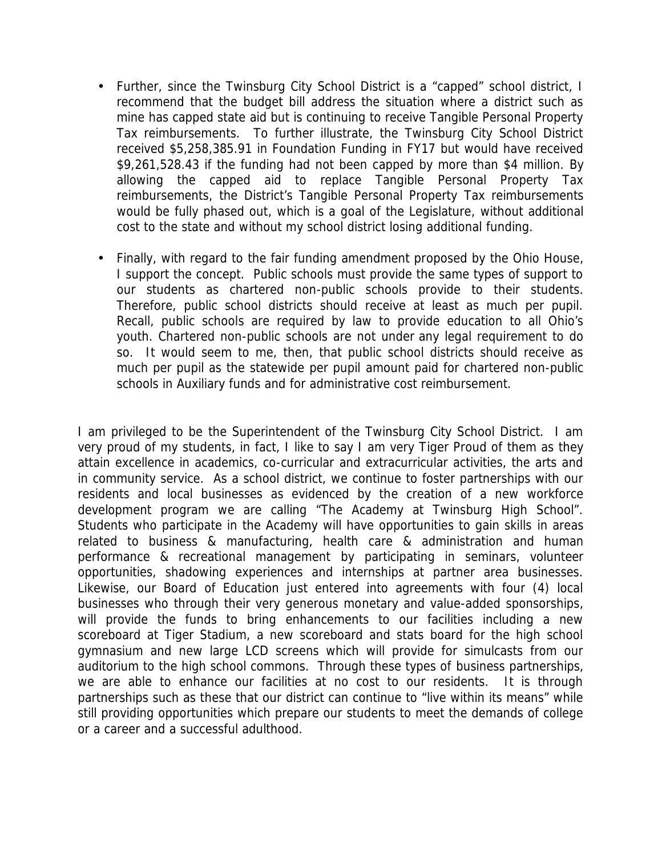- Further, since the Twinsburg City School District is a "capped" school district, I recommend that the budget bill address the situation where a district such as mine has capped state aid but is continuing to receive Tangible Personal Property Tax reimbursements. To further illustrate, the Twinsburg City School District received \$5,258,385.91 in Foundation Funding in FY17 but would have received \$9,261,528.43 if the funding had not been capped by more than \$4 million. By allowing the capped aid to replace Tangible Personal Property Tax reimbursements, the District's Tangible Personal Property Tax reimbursements would be fully phased out, which is a goal of the Legislature, without additional cost to the state and without my school district losing additional funding.
- Finally, with regard to the fair funding amendment proposed by the Ohio House, I support the concept. Public schools must provide the same types of support to our students as chartered non-public schools provide to their students. Therefore, public school districts should receive at least as much per pupil. Recall, public schools are required by law to provide education to all Ohio's youth. Chartered non-public schools are not under any legal requirement to do so. It would seem to me, then, that public school districts should receive as much per pupil as the statewide per pupil amount paid for chartered non-public schools in Auxiliary funds and for administrative cost reimbursement.

I am privileged to be the Superintendent of the Twinsburg City School District. I am very proud of my students, in fact, I like to say I am very Tiger Proud of them as they attain excellence in academics, co-curricular and extracurricular activities, the arts and in community service. As a school district, we continue to foster partnerships with our residents and local businesses as evidenced by the creation of a new workforce development program we are calling "The Academy at Twinsburg High School". Students who participate in the Academy will have opportunities to gain skills in areas related to business & manufacturing, health care & administration and human performance & recreational management by participating in seminars, volunteer opportunities, shadowing experiences and internships at partner area businesses. Likewise, our Board of Education just entered into agreements with four (4) local businesses who through their very generous monetary and value-added sponsorships, will provide the funds to bring enhancements to our facilities including a new scoreboard at Tiger Stadium, a new scoreboard and stats board for the high school gymnasium and new large LCD screens which will provide for simulcasts from our auditorium to the high school commons. Through these types of business partnerships, we are able to enhance our facilities at no cost to our residents. It is through partnerships such as these that our district can continue to "live within its means" while still providing opportunities which prepare our students to meet the demands of college or a career and a successful adulthood.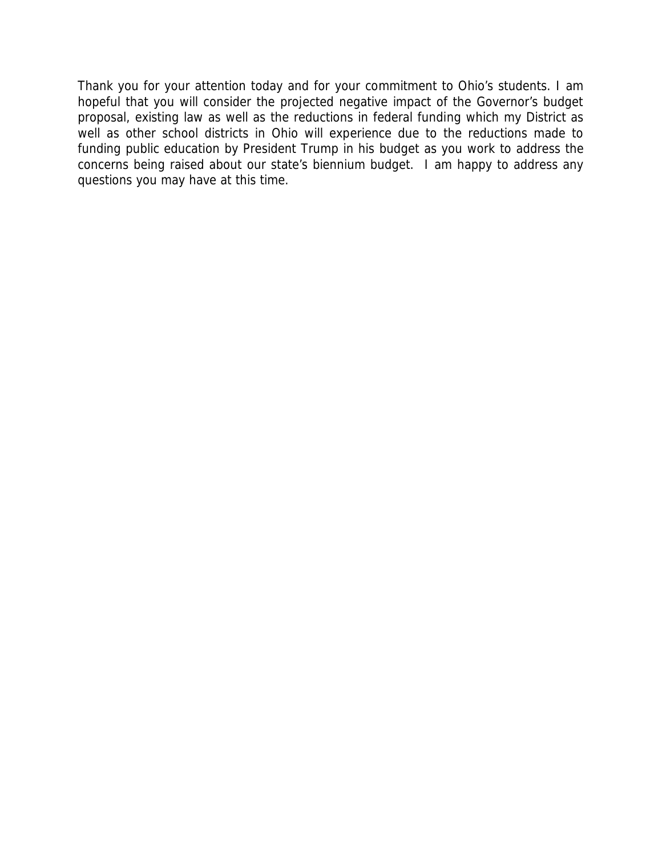Thank you for your attention today and for your commitment to Ohio's students. I am hopeful that you will consider the projected negative impact of the Governor's budget proposal, existing law as well as the reductions in federal funding which my District as well as other school districts in Ohio will experience due to the reductions made to funding public education by President Trump in his budget as you work to address the concerns being raised about our state's biennium budget. I am happy to address any questions you may have at this time.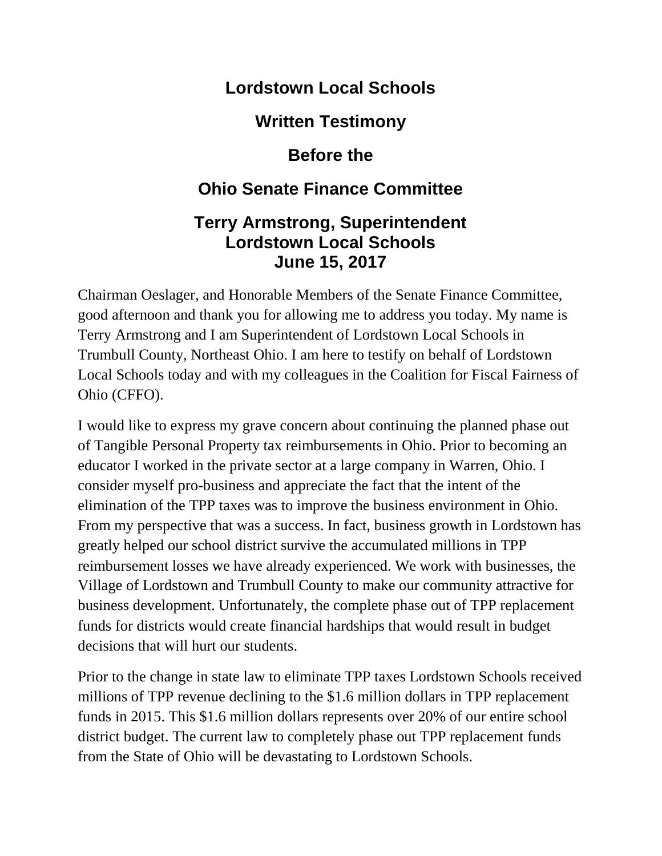### **Lordstown Local Schools**

**Written Testimony**

### **Before the**

# **Ohio Senate Finance Committee**

### **Terry Armstrong, Superintendent Lordstown Local Schools June 15, 2017**

Chairman Oeslager, and Honorable Members of the Senate Finance Committee, good afternoon and thank you for allowing me to address you today. My name is Terry Armstrong and I am Superintendent of Lordstown Local Schools in Trumbull County, Northeast Ohio. I am here to testify on behalf of Lordstown Local Schools today and with my colleagues in the Coalition for Fiscal Fairness of Ohio (CFFO).

I would like to express my grave concern about continuing the planned phase out of Tangible Personal Property tax reimbursements in Ohio. Prior to becoming an educator I worked in the private sector at a large company in Warren, Ohio. I consider myself pro-business and appreciate the fact that the intent of the elimination of the TPP taxes was to improve the business environment in Ohio. From my perspective that was a success. In fact, business growth in Lordstown has greatly helped our school district survive the accumulated millions in TPP reimbursement losses we have already experienced. We work with businesses, the Village of Lordstown and Trumbull County to make our community attractive for business development. Unfortunately, the complete phase out of TPP replacement funds for districts would create financial hardships that would result in budget decisions that will hurt our students.

Prior to the change in state law to eliminate TPP taxes Lordstown Schools received millions of TPP revenue declining to the \$1.6 million dollars in TPP replacement funds in 2015. This \$1.6 million dollars represents over 20% of our entire school district budget. The current law to completely phase out TPP replacement funds from the State of Ohio will be devastating to Lordstown Schools.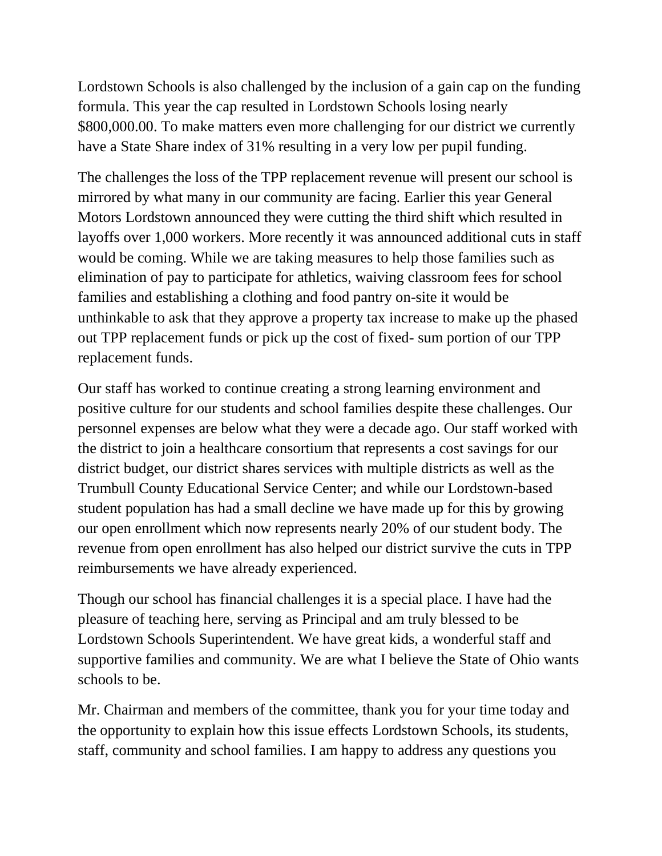Lordstown Schools is also challenged by the inclusion of a gain cap on the funding formula. This year the cap resulted in Lordstown Schools losing nearly \$800,000.00. To make matters even more challenging for our district we currently have a State Share index of 31% resulting in a very low per pupil funding.

The challenges the loss of the TPP replacement revenue will present our school is mirrored by what many in our community are facing. Earlier this year General Motors Lordstown announced they were cutting the third shift which resulted in layoffs over 1,000 workers. More recently it was announced additional cuts in staff would be coming. While we are taking measures to help those families such as elimination of pay to participate for athletics, waiving classroom fees for school families and establishing a clothing and food pantry on-site it would be unthinkable to ask that they approve a property tax increase to make up the phased out TPP replacement funds or pick up the cost of fixed- sum portion of our TPP replacement funds.

Our staff has worked to continue creating a strong learning environment and positive culture for our students and school families despite these challenges. Our personnel expenses are below what they were a decade ago. Our staff worked with the district to join a healthcare consortium that represents a cost savings for our district budget, our district shares services with multiple districts as well as the Trumbull County Educational Service Center; and while our Lordstown-based student population has had a small decline we have made up for this by growing our open enrollment which now represents nearly 20% of our student body. The revenue from open enrollment has also helped our district survive the cuts in TPP reimbursements we have already experienced.

Though our school has financial challenges it is a special place. I have had the pleasure of teaching here, serving as Principal and am truly blessed to be Lordstown Schools Superintendent. We have great kids, a wonderful staff and supportive families and community. We are what I believe the State of Ohio wants schools to be.

Mr. Chairman and members of the committee, thank you for your time today and the opportunity to explain how this issue effects Lordstown Schools, its students, staff, community and school families. I am happy to address any questions you